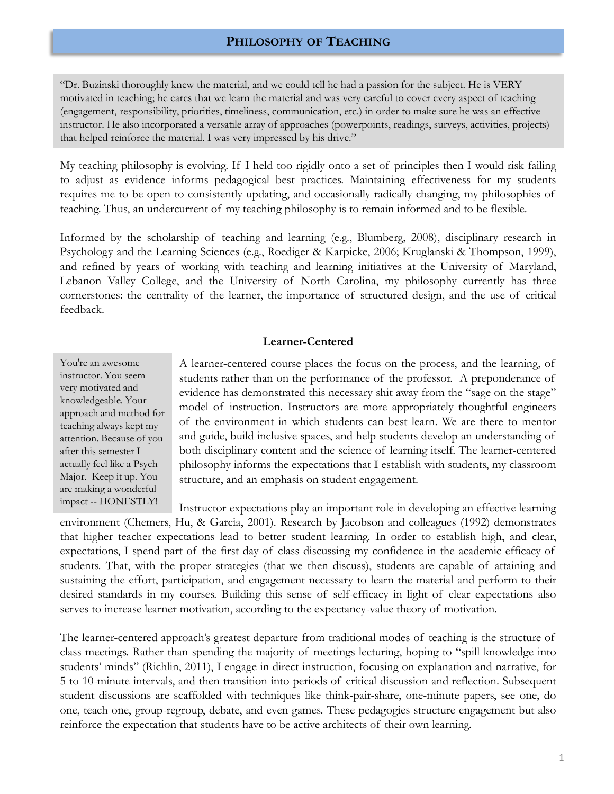## **PHILOSOPHY OF TEACHING**

"Dr. Buzinski thoroughly knew the material, and we could tell he had a passion for the subject. He is VERY motivated in teaching; he cares that we learn the material and was very careful to cover every aspect of teaching (engagement, responsibility, priorities, timeliness, communication, etc.) in order to make sure he was an effective instructor. He also incorporated a versatile array of approaches (powerpoints, readings, surveys, activities, projects) that helped reinforce the material. I was very impressed by his drive."

My teaching philosophy is evolving. If I held too rigidly onto a set of principles then I would risk failing to adjust as evidence informs pedagogical best practices. Maintaining effectiveness for my students requires me to be open to consistently updating, and occasionally radically changing, my philosophies of teaching. Thus, an undercurrent of my teaching philosophy is to remain informed and to be flexible.

Informed by the scholarship of teaching and learning (e.g., Blumberg, 2008), disciplinary research in Psychology and the Learning Sciences (e.g., Roediger & Karpicke, 2006; Kruglanski & Thompson, 1999), and refined by years of working with teaching and learning initiatives at the University of Maryland, Lebanon Valley College, and the University of North Carolina, my philosophy currently has three cornerstones: the centrality of the learner, the importance of structured design, and the use of critical feedback.

## **Learner-Centered**

You're an awesome instructor. You seem very motivated and knowledgeable. Your approach and method for teaching always kept my attention. Because of you after this semester I actually feel like a Psych Major. Keep it up. You are making a wonderful impact -- HONESTLY!

A learner-centered course places the focus on the process, and the learning, of students rather than on the performance of the professor. A preponderance of evidence has demonstrated this necessary shit away from the "sage on the stage" model of instruction. Instructors are more appropriately thoughtful engineers of the environment in which students can best learn. We are there to mentor and guide, build inclusive spaces, and help students develop an understanding of both disciplinary content and the science of learning itself. The learner-centered philosophy informs the expectations that I establish with students, my classroom structure, and an emphasis on student engagement.

environment (Chemers, Hu, & Garcia, 2001). Research by Jacobson and colleagues (1992) demonstrates that higher teacher expectations lead to better student learning. In order to establish high, and clear, expectations, I spend part of the first day of class discussing my confidence in the academic efficacy of students. That, with the proper strategies (that we then discuss), students are capable of attaining and sustaining the effort, participation, and engagement necessary to learn the material and perform to their desired standards in my courses. Building this sense of self-efficacy in light of clear expectations also serves to increase learner motivation, according to the expectancy-value theory of motivation. Instructor expectations play an important role in developing an effective learning

The learner-centered approach's greatest departure from traditional modes of teaching is the structure of class meetings. Rather than spending the majority of meetings lecturing, hoping to "spill knowledge into students' minds" (Richlin, 2011), I engage in direct instruction, focusing on explanation and narrative, for 5 to 10-minute intervals, and then transition into periods of critical discussion and reflection. Subsequent student discussions are scaffolded with techniques like think-pair-share, one-minute papers, see one, do one, teach one, group-regroup, debate, and even games. These pedagogies structure engagement but also reinforce the expectation that students have to be active architects of their own learning.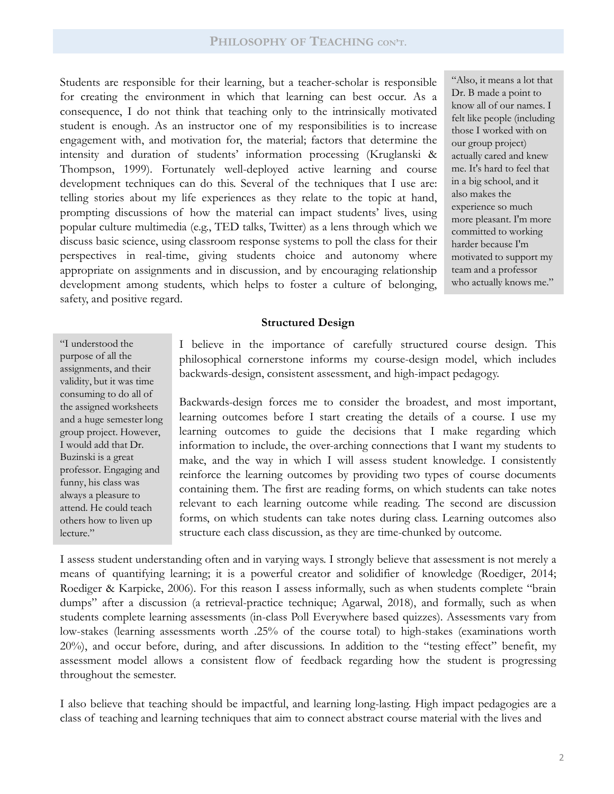Students are responsible for their learning, but a teacher-scholar is responsible for creating the environment in which that learning can best occur. As a consequence, I do not think that teaching only to the intrinsically motivated student is enough. As an instructor one of my responsibilities is to increase engagement with, and motivation for, the material; factors that determine the intensity and duration of students' information processing (Kruglanski & Thompson, 1999). Fortunately well-deployed active learning and course development techniques can do this. Several of the techniques that I use are: telling stories about my life experiences as they relate to the topic at hand, prompting discussions of how the material can impact students' lives, using popular culture multimedia (e.g., TED talks, Twitter) as a lens through which we discuss basic science, using classroom response systems to poll the class for their perspectives in real-time, giving students choice and autonomy where appropriate on assignments and in discussion, and by encouraging relationship development among students, which helps to foster a culture of belonging, safety, and positive regard.

"Also, it means a lot that Dr. B made a point to know all of our names. I felt like people (including those I worked with on our group project) actually cared and knew me. It's hard to feel that in a big school, and it also makes the experience so much more pleasant. I'm more committed to working harder because I'm motivated to support my team and a professor who actually knows me."

## **Structured Design**

"I understood the purpose of all the assignments, and their validity, but it was time consuming to do all of the assigned worksheets and a huge semester long group project. However, I would add that Dr. Buzinski is a great professor. Engaging and funny, his class was always a pleasure to attend. He could teach others how to liven up lecture."

I believe in the importance of carefully structured course design. This philosophical cornerstone informs my course-design model, which includes backwards-design, consistent assessment, and high-impact pedagogy.

Backwards-design forces me to consider the broadest, and most important, learning outcomes before I start creating the details of a course. I use my learning outcomes to guide the decisions that I make regarding which information to include, the over-arching connections that I want my students to make, and the way in which I will assess student knowledge. I consistently reinforce the learning outcomes by providing two types of course documents containing them. The first are reading forms, on which students can take notes relevant to each learning outcome while reading. The second are discussion forms, on which students can take notes during class. Learning outcomes also structure each class discussion, as they are time-chunked by outcome.

I assess student understanding often and in varying ways. I strongly believe that assessment is not merely a means of quantifying learning; it is a powerful creator and solidifier of knowledge (Roediger, 2014; Roediger & Karpicke, 2006). For this reason I assess informally, such as when students complete "brain dumps" after a discussion (a retrieval-practice technique; Agarwal, 2018), and formally, such as when students complete learning assessments (in-class Poll Everywhere based quizzes). Assessments vary from low-stakes (learning assessments worth .25% of the course total) to high-stakes (examinations worth 20%), and occur before, during, and after discussions. In addition to the "testing effect" benefit, my assessment model allows a consistent flow of feedback regarding how the student is progressing throughout the semester.

I also believe that teaching should be impactful, and learning long-lasting. High impact pedagogies are a class of teaching and learning techniques that aim to connect abstract course material with the lives and